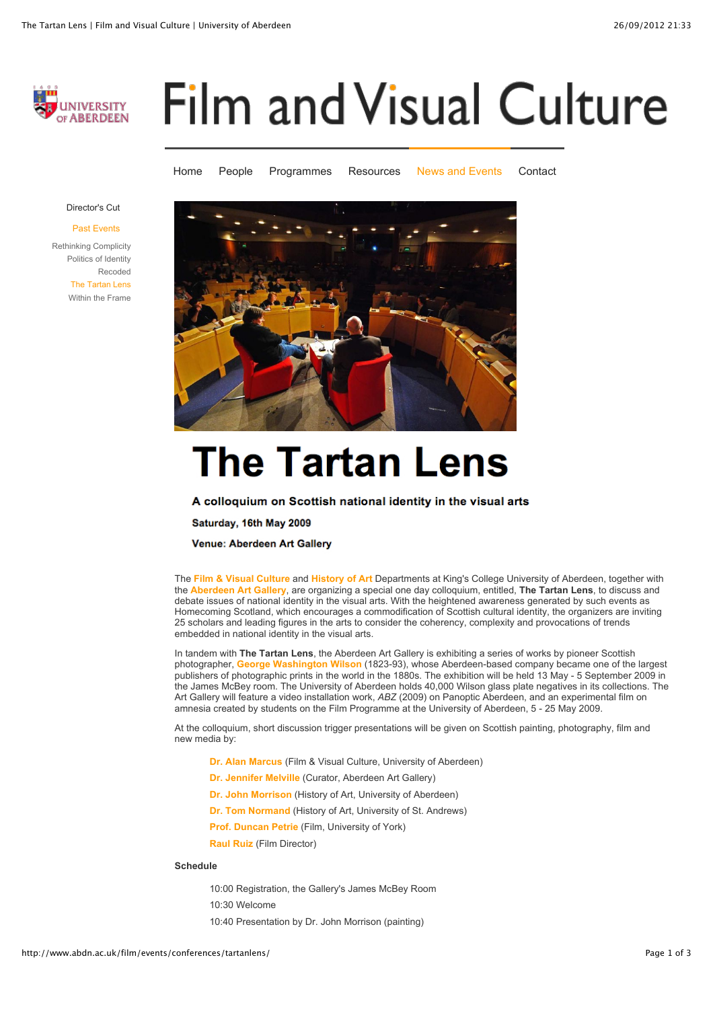

# **Film and Visual Culture**

[Home](http://www.abdn.ac.uk/film/) [People](http://www.abdn.ac.uk/film/people/) [Programmes](http://www.abdn.ac.uk/film/programmes/) [Resources](http://www.abdn.ac.uk/film/resources/) [News and Events](http://www.abdn.ac.uk/film/events/) [Contact](http://www.abdn.ac.uk/film/contact/)



[Past Events](http://www.abdn.ac.uk/film/events/conferences/)





# **The Tartan Lens**

A colloquium on Scottish national identity in the visual arts

Saturday, 16th May 2009

Venue: Aberdeen Art Gallery

The **[Film & Visual Culture](http://www.abdn.ac.uk/film/)** and **[History of Art](http://www.abdn.ac.uk/hoart/)** Departments at King's College University of Aberdeen, together with the **[Aberdeen Art Gallery](http://www.aagm.co.uk/code/emuseum.asp)**, are organizing a special one day colloquium, entitled, **The Tartan Lens**, to discuss and debate issues of national identity in the visual arts. With the heightened awareness generated by such events as Homecoming Scotland, which encourages a commodification of Scottish cultural identity, the organizers are inviting 25 scholars and leading figures in the arts to consider the coherency, complexity and provocations of trends embedded in national identity in the visual arts.

In tandem with **The Tartan Lens**, the Aberdeen Art Gallery is exhibiting a series of works by pioneer Scottish photographer, **[George Washington Wilson](http://www.abdn.ac.uk/film/uploads/files/Wilson%20Union%20St%20photograph.pdf)** (1823-93), whose Aberdeen-based company became one of the largest publishers of photographic prints in the world in the 1880s. The exhibition will be held 13 May - 5 September 2009 in the James McBey room. The University of Aberdeen holds 40,000 Wilson glass plate negatives in its collections. The Art Gallery will feature a video installation work, *ABZ* (2009) on Panoptic Aberdeen, and an experimental film on amnesia created by students on the Film Programme at the University of Aberdeen, 5 - 25 May 2009.

At the colloquium, short discussion trigger presentations will be given on Scottish painting, photography, film and new media by:

- **[Dr. Alan Marcus](http://www.abdn.ac.uk/film/people/academic/a.marcus/)** (Film & Visual Culture, University of Aberdeen)
- **[Dr. Jennifer Melville](mailto:JMELVILLE@aberdeencity.gov.uk)** (Curator, Aberdeen Art Gallery)
- **[Dr. John Morrison](http://www.abdn.ac.uk/hoart/staff/details.php?id=j.c.morrison)** (History of Art, University of Aberdeen)
- **[Dr. Tom Normand](http://www-ah.st-andrews.ac.uk/staff/tom.html)** (History of Art, University of St. Andrews)

**[Prof. Duncan Petrie](http://www.york.ac.uk/depts/tft/staff/petrie.htm)** (Film, University of York)

**[Raul Ruiz](http://www.imdb.com/name/nm0749914/)** (Film Director)

#### **Schedule**

10:00 Registration, the Gallery's James McBey Room 10:30 Welcome 10:40 Presentation by Dr. John Morrison (painting)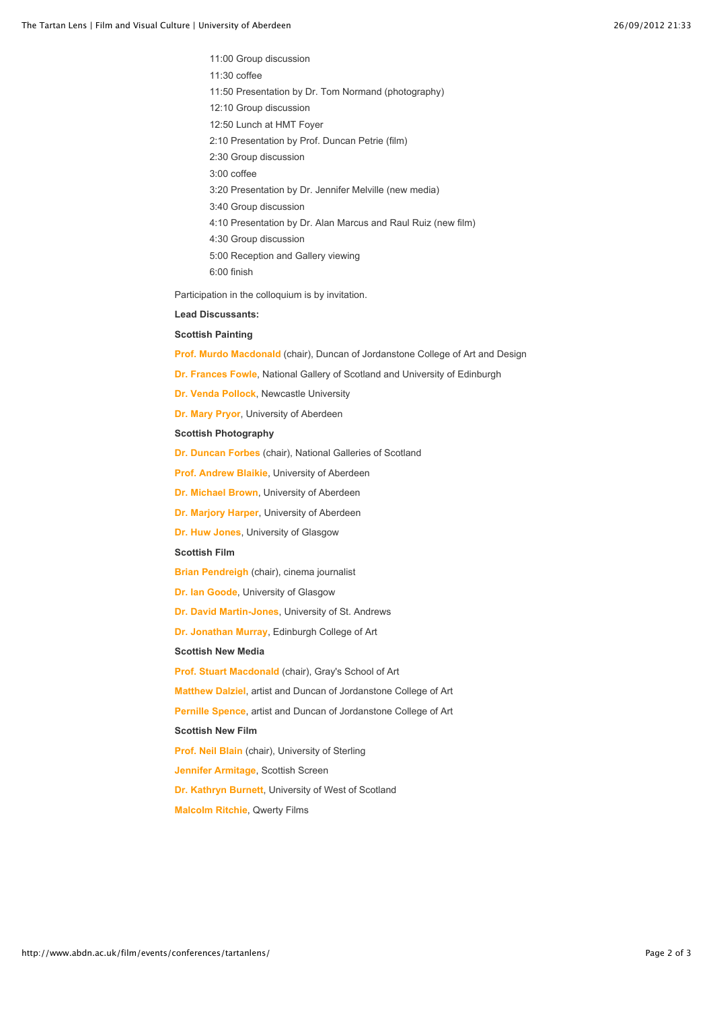11:00 Group discussion 11:30 coffee 11:50 Presentation by Dr. Tom Normand (photography) 12:10 Group discussion 12:50 Lunch at HMT Foyer 2:10 Presentation by Prof. Duncan Petrie (film) 2:30 Group discussion 3:00 coffee 3:20 Presentation by Dr. Jennifer Melville (new media) 3:40 Group discussion 4:10 Presentation by Dr. Alan Marcus and Raul Ruiz (new film) 4:30 Group discussion 5:00 Reception and Gallery viewing 6:00 finish

Participation in the colloquium is by invitation.

# **Lead Discussants:**

## **Scottish Painting**

**[Prof. Murdo Macdonald](http://fineart.dundee.ac.uk/research-staff/people/prof-murdo-macdonald/research.jsp?section=research)** (chair), Duncan of Jordanstone College of Art and Design

- **[Dr. Frances Fowle](http://webdb.ucs.ed.ac.uk/ddm/ACEstaff/entry/onemessage.cfm?txt=26)**, National Gallery of Scotland and University of Edinburgh
- **[Dr. Venda Pollock](http://www.ncl.ac.uk/sacs/staff/profile/venda.pollock)**, Newcastle University

**[Dr. Mary Pryor](http://www.abdn.ac.uk/hoart/staff/pryor.php)**, University of Aberdeen

#### **Scottish Photography**

**[Dr. Duncan Forbes](http://www.inst.at/bio/forbes_duncan.htm)** (chair), National Galleries of Scotland

**[Prof. Andrew Blaikie](http://www.abdn.ac.uk/socsci/staff/details.php?id=a.blaikie)**, University of Aberdeen

- **[Dr. Michael Brown](http://www.abdn.ac.uk/history/staff/details.php?id=m.brown)**, University of Aberdeen
- **[Dr. Marjory Harper](http://www.abdn.ac.uk/history/staff/details.php?id=m.harper)**, University of Aberdeen
- **[Dr. Huw Jones](http://www.gla.ac.uk/centres/ccpr/ourstaff/huwjones/)**, University of Glasgow

#### **Scottish Film**

**[Brian Pendreigh](http://www.iofilm.co.uk/contributors/brian_pendreigh.shtml)** (chair), cinema journalist

**[Dr. Ian Goode](http://www.gla.ac.uk/departments/theatrefilmtelevisionstudies/ourstaff/goode/)**, University of Glasgow

**[Dr. David Martin-Jones](http://www.st-andrews.ac.uk/filmstudies/staff.php?staffid=1)**, University of St. Andrews

**[Dr. Jonathan Murray](http://www.eca.ac.uk/staff_profiles/view/dr-jonathan-murray/)**, Edinburgh College of Art

### **Scottish New Media**

**[Prof. Stuart Macdonald](http://www2.rgu.ac.uk/subj/ats/research/staff/macdonald.html)** (chair), Gray's School of Art

**[Matthew Dalziel](http://www.dalzielscullion.com/)**, artist and Duncan of Jordanstone College of Art

**[Pernille Spence](http://www.pernille-spence.co.uk/)**, artist and Duncan of Jordanstone College of Art

# **Scottish New Film**

**[Prof. Neil Blain](http://www.fmj.stir.ac.uk/staff/neil-blain/neil-blain.php)** (chair), University of Sterling

**[Jennifer Armitage](http://www.scottishscreen.com/content/sub_page.php?sub_id=63)**, Scottish Screen

**[Dr. Kathryn Burnett](http://www.uws.ac.uk/schoolsdepts/mlm/staff/kathryn-burnett.asp)**, University of West of Scotland

**[Malcolm Ritchie](http://www.terntv.co.uk/company/malcolm_ritchie/?fromlocation=29)**, Qwerty Films